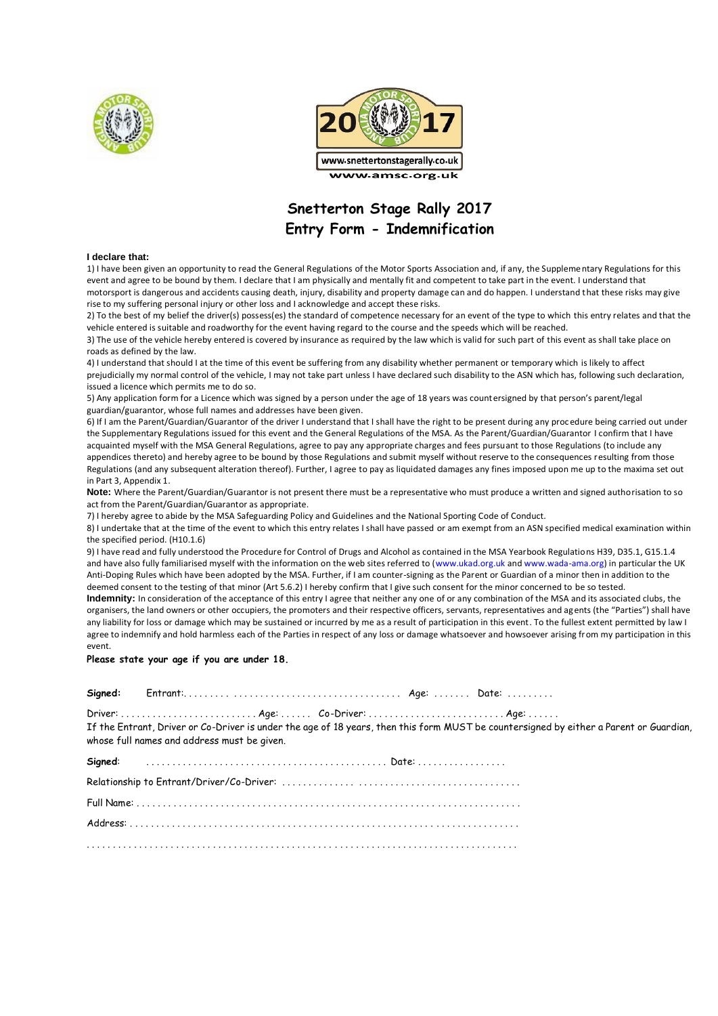



### **Snetterton Stage Rally 2017 Entry Form - Indemnification**

#### **I declare that:**

1) I have been given an opportunity to read the General Regulations of the Motor Sports Association and, if any, the Supplementary Regulations for this event and agree to be bound by them. I declare that I am physically and mentally fit and competent to take part in the event. I understand that motorsport is dangerous and accidents causing death, injury, disability and property damage can and do happen. I understand that these risks may give rise to my suffering personal injury or other loss and I acknowledge and accept these risks.

2) To the best of my belief the driver(s) possess(es) the standard of competence necessary for an event of the type to which this entry relates and that the vehicle entered is suitable and roadworthy for the event having regard to the course and the speeds which will be reached.

3) The use of the vehicle hereby entered is covered by insurance as required by the law which is valid for such part of this event as shall take place on roads as defined by the law.

4) I understand that should I at the time of this event be suffering from any disability whether permanent or temporary which is likely to affect prejudicially my normal control of the vehicle, I may not take part unless I have declared such disability to the ASN which has, following such declaration, issued a licence which permits me to do so.

5) Any application form for a Licence which was signed by a person under the age of 18 years was countersigned by that person's parent/legal guardian/guarantor, whose full names and addresses have been given.

6) If I am the Parent/Guardian/Guarantor of the driver I understand that I shall have the right to be present during any procedure being carried out under the Supplementary Regulations issued for this event and the General Regulations of the MSA. As the Parent/Guardian/Guarantor I confirm that I have acquainted myself with the MSA General Regulations, agree to pay any appropriate charges and fees pursuant to those Regulations (to include any appendices thereto) and hereby agree to be bound by those Regulations and submit myself without reserve to the consequences resulting from those Regulations (and any subsequent alteration thereof). Further, I agree to pay as liquidated damages any fines imposed upon me up to the maxima set out in Part 3, Appendix 1.

**Note:** Where the Parent/Guardian/Guarantor is not present there must be a representative who must produce a written and signed authorisation to so act from the Parent/Guardian/Guarantor as appropriate.

7) I hereby agree to abide by the MSA Safeguarding Policy and Guidelines and the National Sporting Code of Conduct.

8) I undertake that at the time of the event to which this entry relates I shall have passed or am exempt from an ASN specified medical examination within the specified period. (H10.1.6)

9) I have read and fully understood the Procedure for Control of Drugs and Alcohol as contained in the MSA Yearbook Regulations H39, D35.1, G15.1.4 and have also fully familiarised myself with the information on the web sites referred to (www.ukad.org.uk and www.wada-ama.org) in particular the UK Anti-Doping Rules which have been adopted by the MSA. Further, if I am counter-signing as the Parent or Guardian of a minor then in addition to the deemed consent to the testing of that minor (Art 5.6.2) I hereby confirm that I give such consent for the minor concerned to be so tested.

**Indemnity:** In consideration of the acceptance of this entry I agree that neither any one of or any combination of the MSA and its associated clubs, the organisers, the land owners or other occupiers, the promoters and their respective officers, servants, representatives and ag ents (the "Parties") shall have any liability for loss or damage which may be sustained or incurred by me as a result of participation in this event. To the fullest extent permitted by law I agree to indemnify and hold harmless each of the Parties in respect of any loss or damage whatsoever and howsoever arising from my participation in this event.

#### **Please state your age if you are under 18.**

**Signed:** Entrant:. . . . . . . . . . . . . . . . . . . . . . . . . . . . . . . . . . . . . . . . . Age: . . . . . . . Date: . . . . . . . . .

Driver: . . . . . . . . . . . . . . . . . . . . . . . . . . Age: . . . . . . Co-Driver: . . . . . . . . . . . . . . . . . . . . . . . . . . Age: . . . . . .

If the Entrant, Driver or Co-Driver is under the age of 18 years, then this form MUST be countersigned by either a Parent or Guardian, whose full names and address must be given.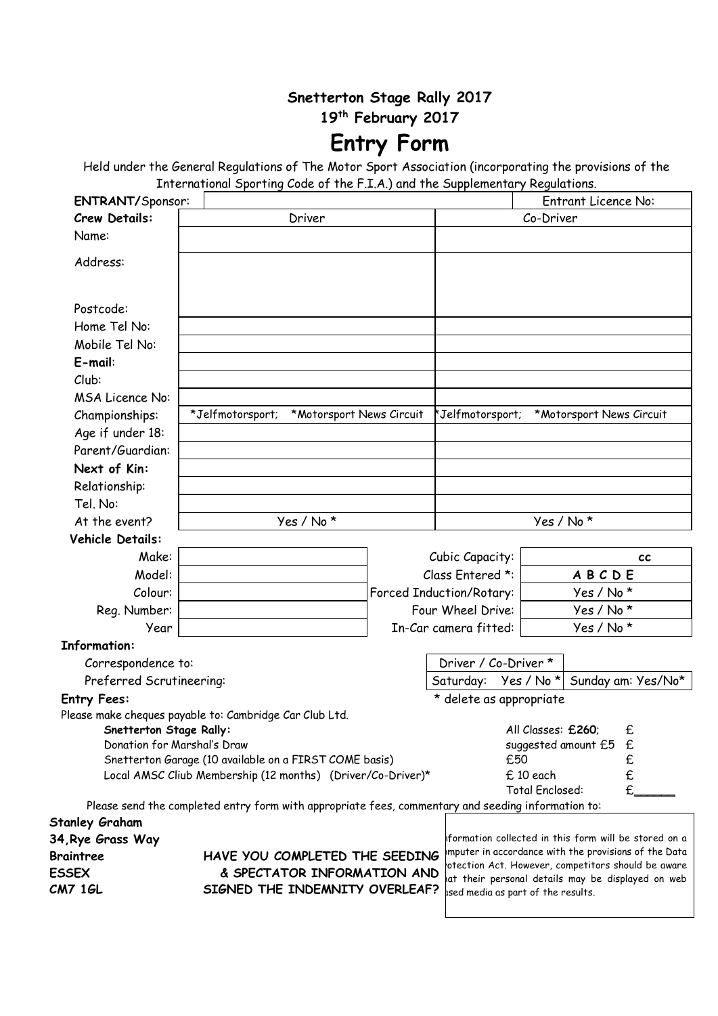### **Snetterton Stage Rally 2017**

**19th February 2017**

# **Entry Form**

Held under the General Regulations of The Motor Sport Association (incorporating the provisions of the International Sporting Code of the F.I.A.) and the Supplementary Regulations.

| <b>ENTRANT/Sponsor:</b>                                                                                               |                                                                                                    |                             |                                 |                          |                        | <b>Entrant Licence No:</b>                                                                                 |
|-----------------------------------------------------------------------------------------------------------------------|----------------------------------------------------------------------------------------------------|-----------------------------|---------------------------------|--------------------------|------------------------|------------------------------------------------------------------------------------------------------------|
| <b>Crew Details:</b>                                                                                                  |                                                                                                    | Driver                      |                                 |                          | Co-Driver              |                                                                                                            |
| Name:                                                                                                                 |                                                                                                    |                             |                                 |                          |                        |                                                                                                            |
| Address:                                                                                                              |                                                                                                    |                             |                                 |                          |                        |                                                                                                            |
|                                                                                                                       |                                                                                                    |                             |                                 |                          |                        |                                                                                                            |
| Postcode:                                                                                                             |                                                                                                    |                             |                                 |                          |                        |                                                                                                            |
| Home Tel No:                                                                                                          |                                                                                                    |                             |                                 |                          |                        |                                                                                                            |
| Mobile Tel No:                                                                                                        |                                                                                                    |                             |                                 |                          |                        |                                                                                                            |
| $E$ -mail:                                                                                                            |                                                                                                    |                             |                                 |                          |                        |                                                                                                            |
| Club:                                                                                                                 |                                                                                                    |                             |                                 |                          |                        |                                                                                                            |
| <b>MSA Licence No:</b>                                                                                                |                                                                                                    |                             |                                 |                          |                        |                                                                                                            |
| Championships:                                                                                                        | *Jelfmotorsport;                                                                                   | *Motorsport News Circuit    |                                 | *Jelfmotorsport;         |                        | *Motorsport News Circuit                                                                                   |
| Age if under 18:                                                                                                      |                                                                                                    |                             |                                 |                          |                        |                                                                                                            |
| Parent/Guardian:                                                                                                      |                                                                                                    |                             |                                 |                          |                        |                                                                                                            |
| Next of Kin:                                                                                                          |                                                                                                    |                             |                                 |                          |                        |                                                                                                            |
| Relationship:                                                                                                         |                                                                                                    |                             |                                 |                          |                        |                                                                                                            |
| Tel. No:                                                                                                              |                                                                                                    |                             |                                 |                          |                        |                                                                                                            |
| At the event?                                                                                                         |                                                                                                    | Yes / No*                   |                                 |                          | Yes / No *             |                                                                                                            |
| Vehicle Details:                                                                                                      |                                                                                                    |                             |                                 |                          |                        |                                                                                                            |
| Make:                                                                                                                 |                                                                                                    |                             |                                 | Cubic Capacity:          |                        | <b>CC</b>                                                                                                  |
| Model:                                                                                                                |                                                                                                    |                             |                                 | Class Entered *:         |                        | ABCDE                                                                                                      |
| Colour:                                                                                                               |                                                                                                    |                             |                                 | Forced Induction/Rotary: |                        | Yes / No *                                                                                                 |
| Reg. Number:                                                                                                          |                                                                                                    |                             | Four Wheel Drive:               |                          | Yes / No *             |                                                                                                            |
| Year                                                                                                                  |                                                                                                    |                             | In-Car camera fitted:           |                          |                        | Yes / No *                                                                                                 |
| <b>Information:</b>                                                                                                   |                                                                                                    |                             |                                 |                          |                        |                                                                                                            |
| Correspondence to:                                                                                                    |                                                                                                    |                             |                                 | Driver / Co-Driver *     |                        |                                                                                                            |
| Preferred Scrutineering:                                                                                              |                                                                                                    |                             |                                 | Saturday: Yes / No *     |                        | Sunday am: Yes/No*                                                                                         |
| <b>Entry Fees:</b>                                                                                                    |                                                                                                    |                             |                                 | * delete as appropriate  |                        |                                                                                                            |
| Please make cheques payable to: Cambridge Car Club Ltd.                                                               |                                                                                                    |                             |                                 |                          |                        |                                                                                                            |
| Snetterton Stage Rally:                                                                                               |                                                                                                    |                             | All Classes: £260;<br>£         |                          |                        |                                                                                                            |
| Donation for Marshal's Draw                                                                                           |                                                                                                    |                             | suggested amount £5<br>£<br>£50 |                          |                        |                                                                                                            |
| Snetterton Garage (10 available on a FIRST COME basis)<br>Local AMSC Cliub Membership (12 months) (Driver/Co-Driver)* |                                                                                                    |                             | £10 each                        | £<br>£                   |                        |                                                                                                            |
|                                                                                                                       |                                                                                                    |                             |                                 |                          | <b>Total Enclosed:</b> |                                                                                                            |
|                                                                                                                       | Please send the completed entry form with appropriate fees, commentary and seeding information to: |                             |                                 |                          |                        |                                                                                                            |
| <b>Stanley Graham</b>                                                                                                 |                                                                                                    |                             |                                 |                          |                        |                                                                                                            |
| 34, Rye Grass Way                                                                                                     |                                                                                                    |                             |                                 |                          |                        | iformation collected in this form will be stored on a                                                      |
| <b>Braintree</b>                                                                                                      | HAVE YOU COMPLETED THE SEEDING                                                                     |                             |                                 |                          |                        | mputer in accordance with the provisions of the Data<br>otection Act. However, competitors should be aware |
| <b>ESSEX</b>                                                                                                          |                                                                                                    | & SPECTATOR INFORMATION AND |                                 |                          |                        | at their personal details may be displayed on web                                                          |
| <b>CM7 1GL</b>                                                                                                        | <b>SIGNED THE INDEMNITY OVERLEAF?</b> as a boart of the results.                                   |                             |                                 |                          |                        |                                                                                                            |

**SIGNED THE INDEMNITY OVERLEAF?**

 $^\prime\,$  ised media as part of the results.